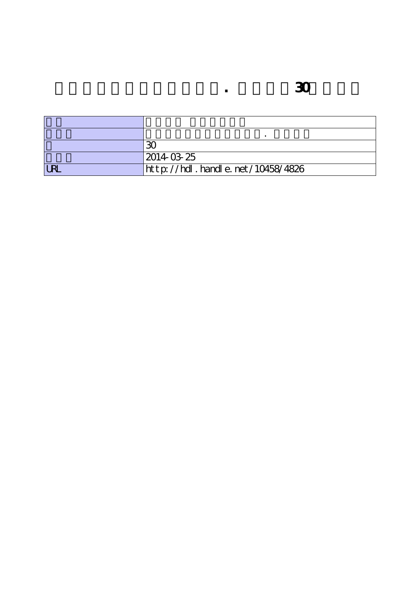|            | 2014 03 25                       |
|------------|----------------------------------|
| <b>LRL</b> | http://hdl.handle.net/10458/4826 |